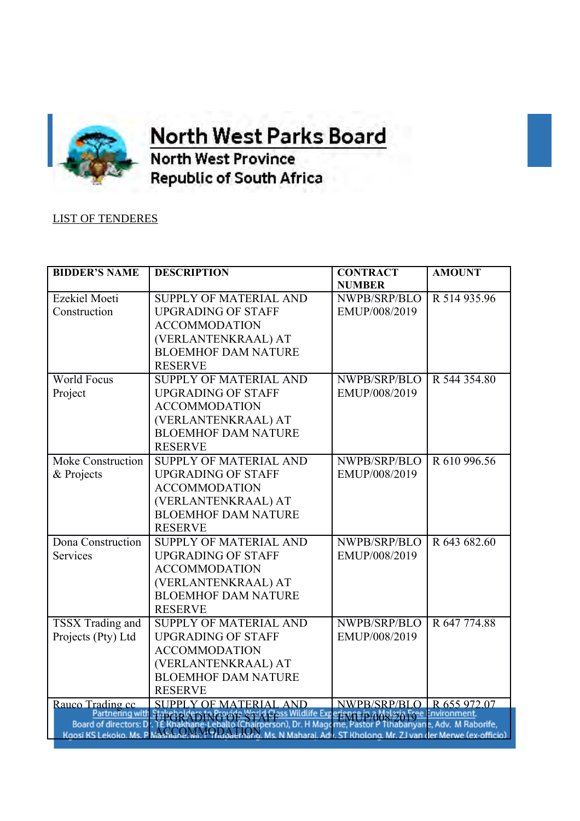

## **OFFICE OF THE orth West Parks Board**

**North West Province Republic of South Africa** 

## LIST OF TENDERES

| <b>BIDDER'S NAME</b>          | <b>DESCRIPTION</b>                                                                                       | <b>CONTRACT</b>                                        | <b>AMOUNT</b>               |
|-------------------------------|----------------------------------------------------------------------------------------------------------|--------------------------------------------------------|-----------------------------|
|                               |                                                                                                          | <b>NUMBER</b>                                          |                             |
| Ezekiel Moeti                 | <b>SUPPLY OF MATERIAL AND</b>                                                                            | NWPB/SRP/BLO                                           | R 514 935.96                |
| Construction                  | <b>UPGRADING OF STAFF</b>                                                                                | EMUP/008/2019                                          |                             |
|                               | <b>ACCOMMODATION</b>                                                                                     |                                                        |                             |
|                               | (VERLANTENKRAAL) AT                                                                                      |                                                        |                             |
|                               | <b>BLOEMHOF DAM NATURE</b>                                                                               |                                                        |                             |
|                               | <b>RESERVE</b>                                                                                           |                                                        |                             |
| <b>World Focus</b>            | SUPPLY OF MATERIAL AND                                                                                   | NWPB/SRP/BLO                                           | R 544 354.80                |
| Project                       | <b>UPGRADING OF STAFF</b>                                                                                | EMUP/008/2019                                          |                             |
|                               | <b>ACCOMMODATION</b>                                                                                     |                                                        |                             |
|                               | (VERLANTENKRAAL) AT                                                                                      |                                                        |                             |
|                               | <b>BLOEMHOF DAM NATURE</b>                                                                               |                                                        |                             |
|                               | <b>RESERVE</b>                                                                                           |                                                        |                             |
| <b>Moke Construction</b>      | <b>SUPPLY OF MATERIAL AND</b>                                                                            | NWPB/SRP/BLO                                           | R 610 996.56                |
| & Projects                    | <b>UPGRADING OF STAFF</b>                                                                                | EMUP/008/2019                                          |                             |
|                               | <b>ACCOMMODATION</b>                                                                                     |                                                        |                             |
|                               | (VERLANTENKRAAL) AT                                                                                      |                                                        |                             |
|                               | <b>BLOEMHOF DAM NATURE</b>                                                                               |                                                        |                             |
|                               | <b>RESERVE</b>                                                                                           |                                                        |                             |
| Dona Construction             | <b>SUPPLY OF MATERIAL AND</b>                                                                            | NWPB/SRP/BLO                                           | R 643 682.60                |
| Services                      | <b>UPGRADING OF STAFF</b>                                                                                | EMUP/008/2019                                          |                             |
|                               | <b>ACCOMMODATION</b>                                                                                     |                                                        |                             |
|                               | (VERLANTENKRAAL) AT                                                                                      |                                                        |                             |
|                               | <b>BLOEMHOF DAM NATURE</b>                                                                               |                                                        |                             |
|                               | <b>RESERVE</b>                                                                                           |                                                        |                             |
| TSSX Trading and              | SUPPLY OF MATERIAL AND                                                                                   | NWPB/SRP/BLO                                           | R 647 774.88                |
| Projects (Pty) Ltd            | <b>UPGRADING OF STAFF</b>                                                                                | EMUP/008/2019                                          |                             |
|                               | <b>ACCOMMODATION</b>                                                                                     |                                                        |                             |
|                               | (VERLANTENKRAAL) AT                                                                                      |                                                        |                             |
|                               | <b>BLOEMHOF DAM NATURE</b>                                                                               |                                                        |                             |
|                               | <b>RESERVE</b>                                                                                           |                                                        |                             |
| Rauco Trading cc              | <b>SUPPLY OF MATERIAL AND</b>                                                                            | NWPB/SRP/BLO   R 655 972.07                            |                             |
|                               | Partnering with Stakeholders in Propose Bar                                                              | lass Wildlife Experisore in AMalasia Free Environment. |                             |
| <b>Board of directors: Dr</b> | Koosi KS Lekoko, Ms. PMASSCOMMODA LIMA Ms. N Maharai, Adv. ST Kholong, Mr. ZJ van der Merwe (ex-officio) | H Magome, Pasto                                        | habanyane, Adv. M Raborife, |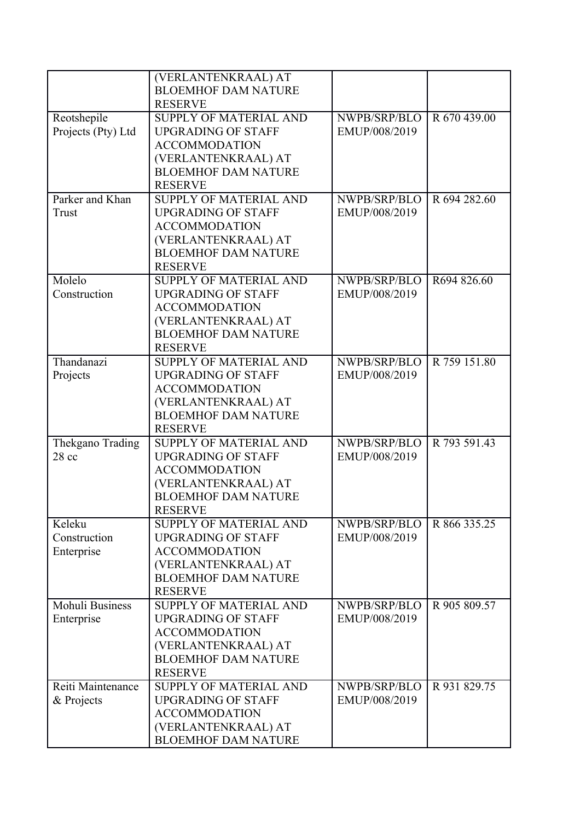|                    | (VERLANTENKRAAL) AT           |               |              |
|--------------------|-------------------------------|---------------|--------------|
|                    | <b>BLOEMHOF DAM NATURE</b>    |               |              |
|                    | <b>RESERVE</b>                |               |              |
|                    | <b>SUPPLY OF MATERIAL AND</b> | NWPB/SRP/BLO  | R 670 439.00 |
| Reotshepile        |                               |               |              |
| Projects (Pty) Ltd | <b>UPGRADING OF STAFF</b>     | EMUP/008/2019 |              |
|                    | <b>ACCOMMODATION</b>          |               |              |
|                    | (VERLANTENKRAAL) AT           |               |              |
|                    | <b>BLOEMHOF DAM NATURE</b>    |               |              |
|                    | <b>RESERVE</b>                |               |              |
| Parker and Khan    | <b>SUPPLY OF MATERIAL AND</b> | NWPB/SRP/BLO  | R 694 282.60 |
| Trust              | <b>UPGRADING OF STAFF</b>     | EMUP/008/2019 |              |
|                    | <b>ACCOMMODATION</b>          |               |              |
|                    | (VERLANTENKRAAL) AT           |               |              |
|                    | <b>BLOEMHOF DAM NATURE</b>    |               |              |
|                    |                               |               |              |
|                    | <b>RESERVE</b>                |               |              |
| Molelo             | SUPPLY OF MATERIAL AND        | NWPB/SRP/BLO  | R694 826.60  |
| Construction       | <b>UPGRADING OF STAFF</b>     | EMUP/008/2019 |              |
|                    | <b>ACCOMMODATION</b>          |               |              |
|                    | (VERLANTENKRAAL) AT           |               |              |
|                    | <b>BLOEMHOF DAM NATURE</b>    |               |              |
|                    | <b>RESERVE</b>                |               |              |
| Thandanazi         | <b>SUPPLY OF MATERIAL AND</b> | NWPB/SRP/BLO  | R 759 151.80 |
| Projects           | <b>UPGRADING OF STAFF</b>     | EMUP/008/2019 |              |
|                    | <b>ACCOMMODATION</b>          |               |              |
|                    | (VERLANTENKRAAL) AT           |               |              |
|                    |                               |               |              |
|                    | <b>BLOEMHOF DAM NATURE</b>    |               |              |
|                    | <b>RESERVE</b>                |               |              |
| Thekgano Trading   | <b>SUPPLY OF MATERIAL AND</b> | NWPB/SRP/BLO  | R 793 591.43 |
| $28$ cc            | <b>UPGRADING OF STAFF</b>     | EMUP/008/2019 |              |
|                    | <b>ACCOMMODATION</b>          |               |              |
|                    | (VERLANTENKRAAL) AT           |               |              |
|                    | <b>BLOEMHOF DAM NATURE</b>    |               |              |
|                    | <b>RESERVE</b>                |               |              |
| Keleku             | <b>SUPPLY OF MATERIAL AND</b> | NWPB/SRP/BLO  | R 866 335.25 |
| Construction       | <b>UPGRADING OF STAFF</b>     | EMUP/008/2019 |              |
| Enterprise         | <b>ACCOMMODATION</b>          |               |              |
|                    | (VERLANTENKRAAL) AT           |               |              |
|                    | <b>BLOEMHOF DAM NATURE</b>    |               |              |
|                    |                               |               |              |
|                    | <b>RESERVE</b>                |               |              |
| Mohuli Business    | <b>SUPPLY OF MATERIAL AND</b> | NWPB/SRP/BLO  | R 905 809.57 |
| Enterprise         | <b>UPGRADING OF STAFF</b>     | EMUP/008/2019 |              |
|                    | <b>ACCOMMODATION</b>          |               |              |
|                    | (VERLANTENKRAAL) AT           |               |              |
|                    | <b>BLOEMHOF DAM NATURE</b>    |               |              |
|                    | <b>RESERVE</b>                |               |              |
| Reiti Maintenance  | <b>SUPPLY OF MATERIAL AND</b> | NWPB/SRP/BLO  | R 931 829.75 |
| & Projects         | <b>UPGRADING OF STAFF</b>     | EMUP/008/2019 |              |
|                    | <b>ACCOMMODATION</b>          |               |              |
|                    | (VERLANTENKRAAL) AT           |               |              |
|                    | <b>BLOEMHOF DAM NATURE</b>    |               |              |
|                    |                               |               |              |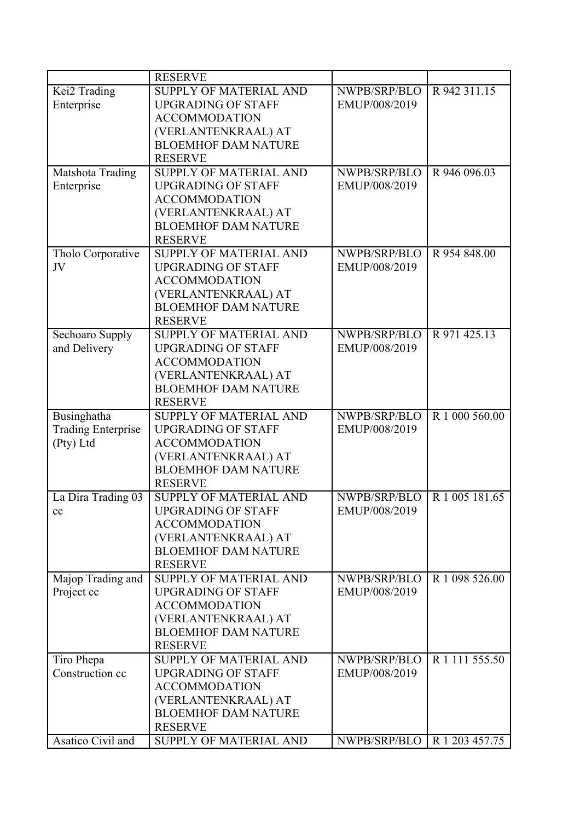|                           | <b>RESERVE</b>                |                               |                |
|---------------------------|-------------------------------|-------------------------------|----------------|
| Kei2 Trading              | <b>SUPPLY OF MATERIAL AND</b> | NWPB/SRP/BLO                  | R 942 311.15   |
| Enterprise                | <b>UPGRADING OF STAFF</b>     | EMUP/008/2019                 |                |
|                           | <b>ACCOMMODATION</b>          |                               |                |
|                           | (VERLANTENKRAAL) AT           |                               |                |
|                           | <b>BLOEMHOF DAM NATURE</b>    |                               |                |
|                           | <b>RESERVE</b>                |                               |                |
| Matshota Trading          | <b>SUPPLY OF MATERIAL AND</b> | NWPB/SRP/BLO                  | R 946 096.03   |
| Enterprise                | <b>UPGRADING OF STAFF</b>     | EMUP/008/2019                 |                |
|                           | <b>ACCOMMODATION</b>          |                               |                |
|                           | (VERLANTENKRAAL) AT           |                               |                |
|                           | <b>BLOEMHOF DAM NATURE</b>    |                               |                |
|                           | <b>RESERVE</b>                |                               |                |
| Tholo Corporative         | <b>SUPPLY OF MATERIAL AND</b> | NWPB/SRP/BLO                  | R 954 848.00   |
| JV                        | <b>UPGRADING OF STAFF</b>     | EMUP/008/2019                 |                |
|                           | <b>ACCOMMODATION</b>          |                               |                |
|                           | (VERLANTENKRAAL) AT           |                               |                |
|                           | <b>BLOEMHOF DAM NATURE</b>    |                               |                |
|                           | <b>RESERVE</b>                |                               |                |
| Sechoaro Supply           | <b>SUPPLY OF MATERIAL AND</b> | NWPB/SRP/BLO                  | R 971 425.13   |
| and Delivery              | <b>UPGRADING OF STAFF</b>     | EMUP/008/2019                 |                |
|                           | <b>ACCOMMODATION</b>          |                               |                |
|                           | (VERLANTENKRAAL) AT           |                               |                |
|                           | <b>BLOEMHOF DAM NATURE</b>    |                               |                |
|                           | <b>RESERVE</b>                |                               |                |
| Businghatha               | <b>SUPPLY OF MATERIAL AND</b> | NWPB/SRP/BLO                  | R 1 000 560.00 |
| <b>Trading Enterprise</b> | <b>UPGRADING OF STAFF</b>     | EMUP/008/2019                 |                |
| (Pty) Ltd                 | <b>ACCOMMODATION</b>          |                               |                |
|                           | (VERLANTENKRAAL) AT           |                               |                |
|                           | <b>BLOEMHOF DAM NATURE</b>    |                               |                |
|                           | <b>RESERVE</b>                |                               |                |
| La Dira Trading 03        | SUPPLY OF MATERIAL AND        | NWPB/SRP/BLO                  | R 1 005 181.65 |
| cc                        | <b>UPGRADING OF STAFF</b>     | EMUP/008/2019                 |                |
|                           | <b>ACCOMMODATION</b>          |                               |                |
|                           | (VERLANTENKRAAL) AT           |                               |                |
|                           | <b>BLOEMHOF DAM NATURE</b>    |                               |                |
|                           | <b>RESERVE</b>                |                               |                |
|                           | <b>SUPPLY OF MATERIAL AND</b> |                               | R 1 098 526.00 |
| Majop Trading and         | <b>UPGRADING OF STAFF</b>     | NWPB/SRP/BLO                  |                |
| Project cc                |                               | EMUP/008/2019                 |                |
|                           | <b>ACCOMMODATION</b>          |                               |                |
|                           | (VERLANTENKRAAL) AT           |                               |                |
|                           | <b>BLOEMHOF DAM NATURE</b>    |                               |                |
|                           | <b>RESERVE</b>                |                               |                |
| Tiro Phepa                | <b>SUPPLY OF MATERIAL AND</b> | NWPB/SRP/BLO                  | R 1 111 555.50 |
| Construction cc           | <b>UPGRADING OF STAFF</b>     | EMUP/008/2019                 |                |
|                           | <b>ACCOMMODATION</b>          |                               |                |
|                           | (VERLANTENKRAAL) AT           |                               |                |
|                           | <b>BLOEMHOF DAM NATURE</b>    |                               |                |
|                           | <b>RESERVE</b>                |                               |                |
| Asatico Civil and         | SUPPLY OF MATERIAL AND        | NWPB/SRP/BLO   R 1 203 457.75 |                |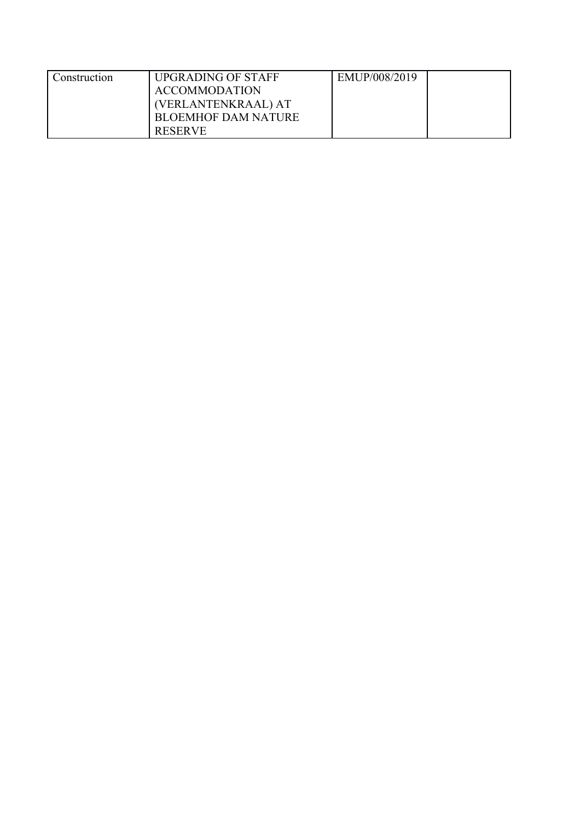| Construction | <b>UPGRADING OF STAFF</b>  | EMUP/008/2019 |  |
|--------------|----------------------------|---------------|--|
|              | <b>ACCOMMODATION</b>       |               |  |
|              | (VERLANTENKRAAL) AT        |               |  |
|              | <b>BLOEMHOF DAM NATURE</b> |               |  |
|              | <b>RESERVE</b>             |               |  |